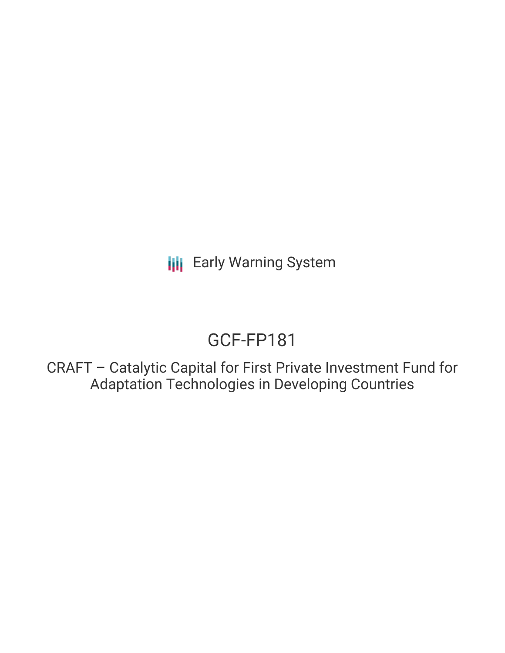**III** Early Warning System

# GCF-FP181

CRAFT – Catalytic Capital for First Private Investment Fund for Adaptation Technologies in Developing Countries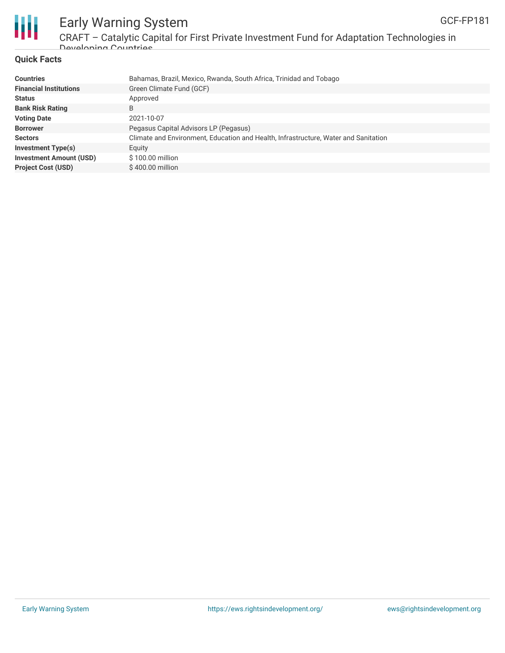

Ш

Early Warning System CRAFT – Catalytic Capital for First Private Investment Fund for Adaptation Technologies in

#### **Quick Facts**

Developing Countries

| Bahamas, Brazil, Mexico, Rwanda, South Africa, Trinidad and Tobago                  |
|-------------------------------------------------------------------------------------|
| Green Climate Fund (GCF)                                                            |
| Approved                                                                            |
|                                                                                     |
| 2021-10-07                                                                          |
| Pegasus Capital Advisors LP (Pegasus)                                               |
| Climate and Environment, Education and Health, Infrastructure, Water and Sanitation |
| Equity                                                                              |
| $$100.00$ million                                                                   |
| \$400.00 million                                                                    |
|                                                                                     |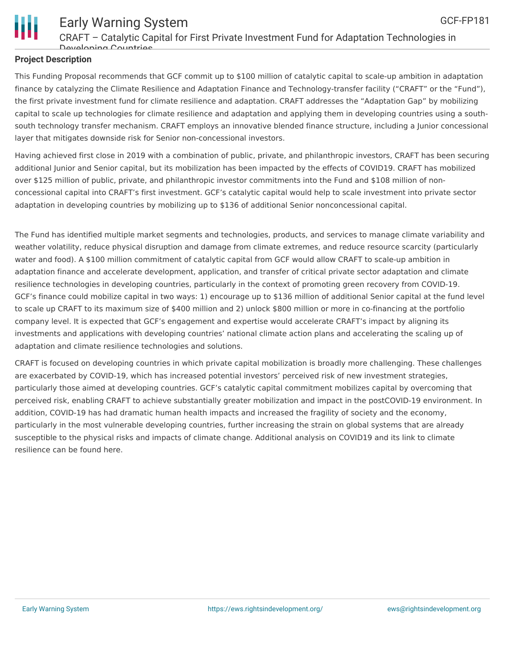

## **Project Description**

This Funding Proposal recommends that GCF commit up to \$100 million of catalytic capital to scale-up ambition in adaptation finance by catalyzing the Climate Resilience and Adaptation Finance and Technology-transfer facility ("CRAFT" or the "Fund"), the first private investment fund for climate resilience and adaptation. CRAFT addresses the "Adaptation Gap" by mobilizing capital to scale up technologies for climate resilience and adaptation and applying them in developing countries using a southsouth technology transfer mechanism. CRAFT employs an innovative blended finance structure, including a Junior concessional layer that mitigates downside risk for Senior non-concessional investors.

Having achieved first close in 2019 with a combination of public, private, and philanthropic investors, CRAFT has been securing additional Junior and Senior capital, but its mobilization has been impacted by the effects of COVID19. CRAFT has mobilized over \$125 million of public, private, and philanthropic investor commitments into the Fund and \$108 million of nonconcessional capital into CRAFT's first investment. GCF's catalytic capital would help to scale investment into private sector adaptation in developing countries by mobilizing up to \$136 of additional Senior nonconcessional capital.

The Fund has identified multiple market segments and technologies, products, and services to manage climate variability and weather volatility, reduce physical disruption and damage from climate extremes, and reduce resource scarcity (particularly water and food). A \$100 million commitment of catalytic capital from GCF would allow CRAFT to scale-up ambition in adaptation finance and accelerate development, application, and transfer of critical private sector adaptation and climate resilience technologies in developing countries, particularly in the context of promoting green recovery from COVID-19. GCF's finance could mobilize capital in two ways: 1) encourage up to \$136 million of additional Senior capital at the fund level to scale up CRAFT to its maximum size of \$400 million and 2) unlock \$800 million or more in co-financing at the portfolio company level. It is expected that GCF's engagement and expertise would accelerate CRAFT's impact by aligning its investments and applications with developing countries' national climate action plans and accelerating the scaling up of adaptation and climate resilience technologies and solutions.

CRAFT is focused on developing countries in which private capital mobilization is broadly more challenging. These challenges are exacerbated by COVID-19, which has increased potential investors' perceived risk of new investment strategies, particularly those aimed at developing countries. GCF's catalytic capital commitment mobilizes capital by overcoming that perceived risk, enabling CRAFT to achieve substantially greater mobilization and impact in the postCOVID-19 environment. In addition, COVID-19 has had dramatic human health impacts and increased the fragility of society and the economy, particularly in the most vulnerable developing countries, further increasing the strain on global systems that are already susceptible to the physical risks and impacts of climate change. Additional analysis on COVID19 and its link to climate resilience can be found here.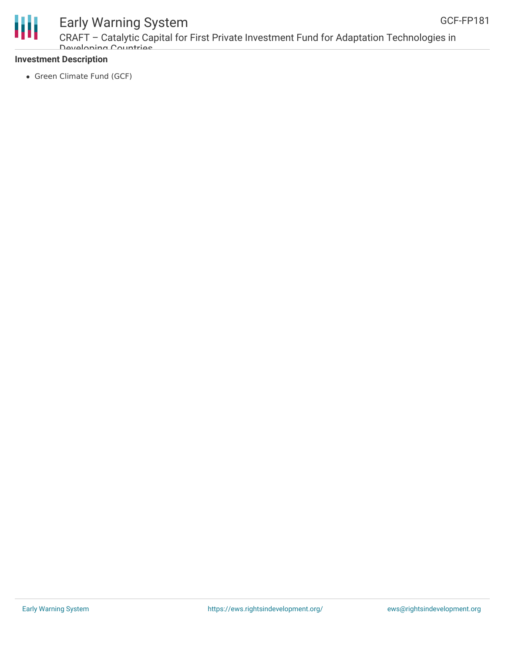



## Early Warning System

CRAFT – Catalytic Capital for First Private Investment Fund for Adaptation Technologies in Developing Countries

### **Investment Description**

• Green Climate Fund (GCF)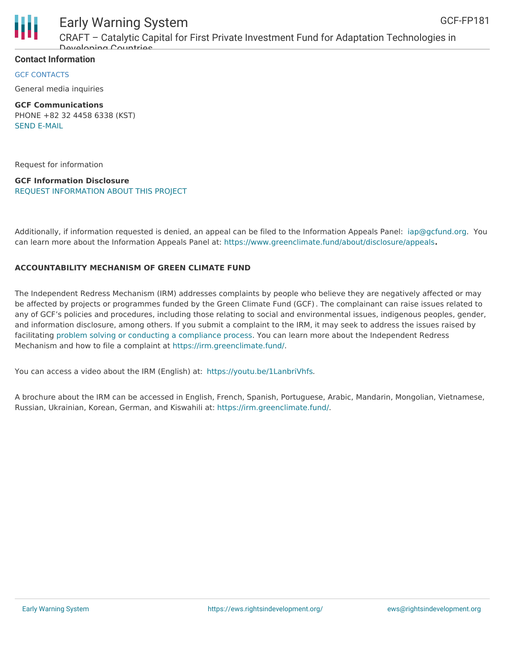



# Early Warning System

CRAFT – Catalytic Capital for First Private Investment Fund for Adaptation Technologies in Developing Countries

### **Contact Information**

GCF CONTACTS

General media inquiries

**GCF Communications** PHONE +82 32 4458 6338 (KST) SEND [E-MAIL](mailto:communications@gcfund.org)

Request for information

**GCF Information Disclosure** REQUEST [INFORMATION](https://www.greenclimate.fund/about/disclosure/form) ABOUT THIS PROJECT

Additionally, if information requested is denied, an appeal can be filed to the Information Appeals Panel: [iap@gcfund.org.](mailto:iap@gcfund.org) You can learn more about the Information Appeals Panel at: <https://www.greenclimate.fund/about/disclosure/appeals>**.**

### **ACCOUNTABILITY MECHANISM OF GREEN CLIMATE FUND**

The Independent Redress Mechanism (IRM) addresses complaints by people who believe they are negatively affected or may be affected by projects or programmes funded by the Green Climate Fund (GCF). The complainant can raise issues related to any of GCF's policies and procedures, including those relating to social and environmental issues, indigenous peoples, gender, and information disclosure, among others. If you submit a complaint to the IRM, it may seek to address the issues raised by facilitating problem solving or conducting a [compliance](https://irm.greenclimate.fund/about-the-irm/how-we-work) process. You can learn more about the Independent Redress Mechanism and how to file a complaint at <https://irm.greenclimate.fund/>.

You can access a video about the IRM (English) at: <https://youtu.be/1LanbriVhfs>.

A brochure about the IRM can be accessed in English, French, Spanish, Portuguese, Arabic, Mandarin, Mongolian, Vietnamese, Russian, Ukrainian, Korean, German, and Kiswahili at: <https://irm.greenclimate.fund/>.